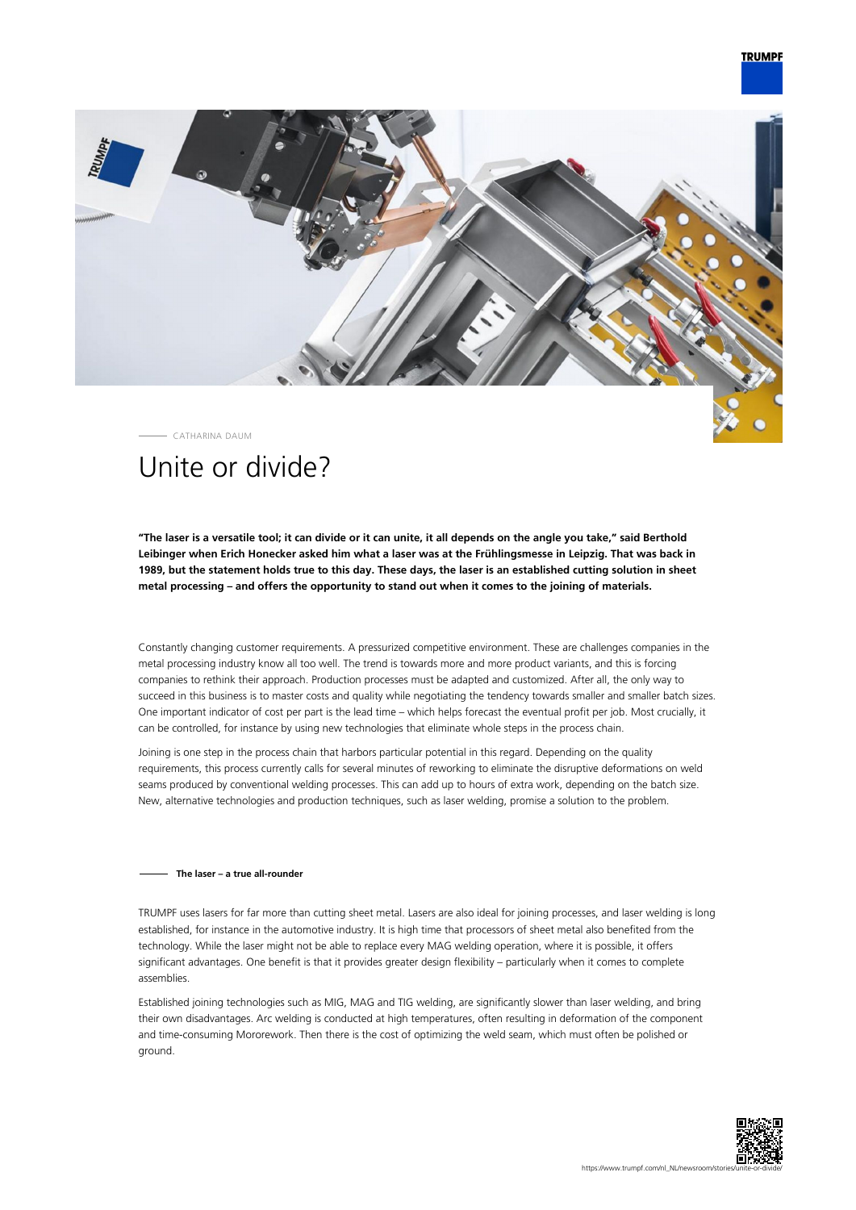## **TRUMPF**



CATHARINA DAUM

# Unite or divide?

**"The laser is a versatile tool; it can divide or it can unite, it all depends on the angle you take," said Berthold Leibinger when Erich Honecker asked him what a laser was at the Frühlingsmesse in Leipzig. That was back in 1989, but the statement holds true to this day. These days, the laser is an established cutting solution in sheet metal processing – and offers the opportunity to stand out when it comes to the joining of materials.**

Constantly changing customer requirements. A pressurized competitive environment. These are challenges companies in the metal processing industry know all too well. The trend is towards more and more product variants, and this is forcing companies to rethink their approach. Production processes must be adapted and customized. After all, the only way to succeed in this business is to master costs and quality while negotiating the tendency towards smaller and smaller batch sizes. One important indicator of cost per part is the lead time – which helps forecast the eventual profit per job. Most crucially, it can be controlled, for instance by using new technologies that eliminate whole steps in the process chain.

Joining is one step in the process chain that harbors particular potential in this regard. Depending on the quality requirements, this process currently calls for several minutes of reworking to eliminate the disruptive deformations on weld seams produced by conventional welding processes. This can add up to hours of extra work, depending on the batch size. New, alternative technologies and production techniques, such as laser welding, promise a solution to the problem.

### **The laser – a true all-rounder**

TRUMPF uses lasers for far more than cutting sheet metal. Lasers are also ideal for joining processes, and laser welding is long established, for instance in the automotive industry. It is high time that processors of sheet metal also benefited from the technology. While the laser might not be able to replace every MAG welding operation, where it is possible, it offers significant advantages. One benefit is that it provides greater design flexibility – particularly when it comes to complete assemblies.

Established joining technologies such as MIG, MAG and TIG welding, are significantly slower than laser welding, and bring their own disadvantages. Arc welding is conducted at high temperatures, often resulting in deformation of the component and time-consuming Mororework. Then there is the cost of optimizing the weld seam, which must often be polished or ground.

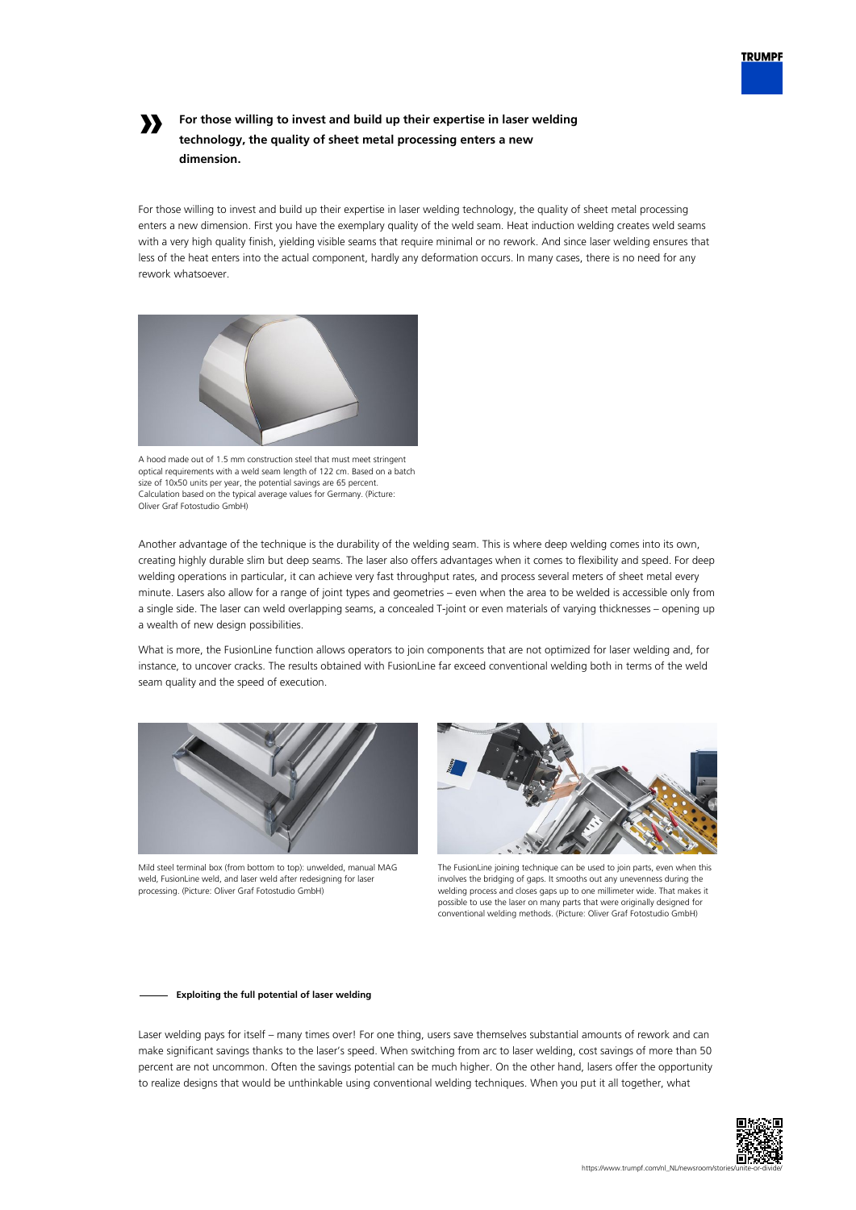

## **»**

## **For those willing to invest and build up their expertise in laser welding technology, the quality of sheet metal processing enters a new dimension.**

For those willing to invest and build up their expertise in laser welding technology, the quality of sheet metal processing enters a new dimension. First you have the exemplary quality of the weld seam. Heat induction welding creates weld seams with a very high quality finish, yielding visible seams that require minimal or no rework. And since laser welding ensures that less of the heat enters into the actual component, hardly any deformation occurs. In many cases, there is no need for any rework whatsoever.



A hood made out of 1.5 mm construction steel that must meet stringent optical requirements with a weld seam length of 122 cm. Based on a batch size of 10x50 units per year, the potential savings are 65 percent. Calculation based on the typical average values for Germany. (Picture: Oliver Graf Fotostudio GmbH)

Another advantage of the technique is the durability of the welding seam. This is where deep welding comes into its own, creating highly durable slim but deep seams. The laser also offers advantages when it comes to flexibility and speed. For deep welding operations in particular, it can achieve very fast throughput rates, and process several meters of sheet metal every minute. Lasers also allow for a range of joint types and geometries – even when the area to be welded is accessible only from a single side. The laser can weld overlapping seams, a concealed T-joint or even materials of varying thicknesses – opening up a wealth of new design possibilities.

What is more, the FusionLine function allows operators to join components that are not optimized for laser welding and, for instance, to uncover cracks. The results obtained with FusionLine far exceed conventional welding both in terms of the weld seam quality and the speed of execution.



Mild steel terminal box (from bottom to top): unwelded, manual MAG weld, FusionLine weld, and laser weld after redesigning for laser processing. (Picture: Oliver Graf Fotostudio GmbH)



The FusionLine joining technique can be used to join parts, even when this involves the bridging of gaps. It smooths out any unevenness during the welding process and closes gaps up to one millimeter wide. That makes it possible to use the laser on many parts that were originally designed for conventional welding methods. (Picture: Oliver Graf Fotostudio GmbH)

### **Exploiting the full potential of laser welding**

Laser welding pays for itself – many times over! For one thing, users save themselves substantial amounts of rework and can make significant savings thanks to the laser's speed. When switching from arc to laser welding, cost savings of more than 50 percent are not uncommon. Often the savings potential can be much higher. On the other hand, lasers offer the opportunity to realize designs that would be unthinkable using conventional welding techniques. When you put it all together, what